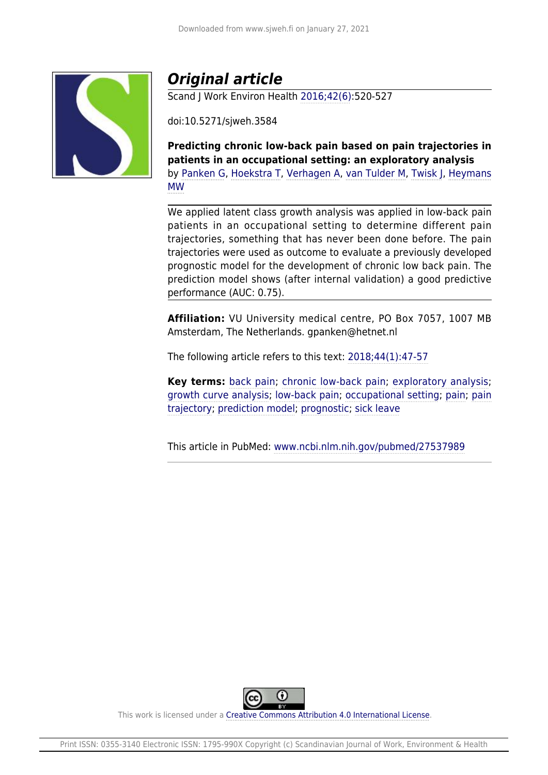

## *Original article*

Scand J Work Environ Health [2016;42\(6\):](https://www.sjweh.fi/show_issue.php?issue_id=320)520-527

doi:10.5271/sjweh.3584

**Predicting chronic low-back pain based on pain trajectories in patients in an occupational setting: an exploratory analysis** by [Panken G,](https://www.sjweh.fi/index.php?page=list-articles&author_id=8402) [Hoekstra T](https://www.sjweh.fi/index.php?page=list-articles&author_id=8403), [Verhagen A,](https://www.sjweh.fi/index.php?page=list-articles&author_id=8404) [van Tulder M,](https://www.sjweh.fi/index.php?page=list-articles&author_id=3171) [Twisk J](https://www.sjweh.fi/index.php?page=list-articles&author_id=917), [Heymans](https://www.sjweh.fi/index.php?page=list-articles&author_id=6996) [MW](https://www.sjweh.fi/index.php?page=list-articles&author_id=6996)

We applied latent class growth analysis was applied in low-back pain patients in an occupational setting to determine different pain trajectories, something that has never been done before. The pain trajectories were used as outcome to evaluate a previously developed prognostic model for the development of chronic low back pain. The prediction model shows (after internal validation) a good predictive performance (AUC: 0.75).

**Affiliation:** VU University medical centre, PO Box 7057, 1007 MB Amsterdam, The Netherlands. gpanken@hetnet.nl

The following article refers to this text: [2018;44\(1\):47-57](https://www.sjweh.fi/show_abstract.php?abstract_id=3690)

**Key terms:** [back pain](http://www.sjweh.fi/index.php?page=list-articles&keyword_id=89); [chronic low-back pain](http://www.sjweh.fi/index.php?page=list-articles&keyword_id=3682); [exploratory analysis;](http://www.sjweh.fi/index.php?page=list-articles&keyword_id=8386) [growth curve analysis](http://www.sjweh.fi/index.php?page=list-articles&keyword_id=8387); [low-back pain;](http://www.sjweh.fi/index.php?page=list-articles&keyword_id=57) [occupational setting](http://www.sjweh.fi/index.php?page=list-articles&keyword_id=7296); [pain;](http://www.sjweh.fi/index.php?page=list-articles&keyword_id=1547) [pain](http://www.sjweh.fi/index.php?page=list-articles&keyword_id=8385) [trajectory](http://www.sjweh.fi/index.php?page=list-articles&keyword_id=8385); [prediction model;](http://www.sjweh.fi/index.php?page=list-articles&keyword_id=7600) [prognostic](http://www.sjweh.fi/index.php?page=list-articles&keyword_id=8388); [sick leave](http://www.sjweh.fi/index.php?page=list-articles&keyword_id=76)

This article in PubMed: [www.ncbi.nlm.nih.gov/pubmed/27537989](http://www.ncbi.nlm.nih.gov/pubmed/27537989)



This work is licensed under a [Creative Commons Attribution 4.0 International License.](http://creativecommons.org/licenses/by/4.0/)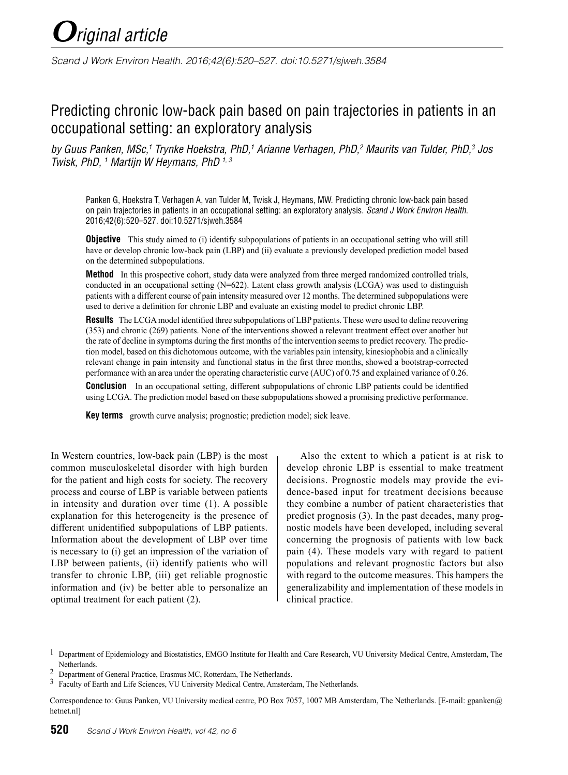# *Original article*

*Scand J Work Environ Health. 2016;42(6):520–527. doi:10.5271/sjweh.3584*

### Predicting chronic low-back pain based on pain trajectories in patients in an occupational setting: an exploratory analysis

*by Guus Panken, MSc,1 Trynke Hoekstra, PhD,1 Arianne Verhagen, PhD,2 Maurits van Tulder, PhD,3 Jos Twisk, PhD, 1 Martijn W Heymans, PhD 1, 3*

Panken G, Hoekstra T, Verhagen A, van Tulder M, Twisk J, Heymans, MW. Predicting chronic low-back pain based on pain trajectories in patients in an occupational setting: an exploratory analysis. *Scand J Work Environ Health*. 2016;42(6):520–527. doi:10.5271/sjweh.3584

**Objective** This study aimed to (i) identify subpopulations of patients in an occupational setting who will still have or develop chronic low-back pain (LBP) and (ii) evaluate a previously developed prediction model based on the determined subpopulations.

**Method** In this prospective cohort, study data were analyzed from three merged randomized controlled trials, conducted in an occupational setting (N=622). Latent class growth analysis (LCGA) was used to distinguish patients with a different course of pain intensity measured over 12 months. The determined subpopulations were used to derive a definition for chronic LBP and evaluate an existing model to predict chronic LBP.

**Results** The LCGA model identified three subpopulations of LBP patients. These were used to define recovering (353) and chronic (269) patients. None of the interventions showed a relevant treatment effect over another but the rate of decline in symptoms during the first months of the intervention seems to predict recovery. The prediction model, based on this dichotomous outcome, with the variables pain intensity, kinesiophobia and a clinically relevant change in pain intensity and functional status in the first three months, showed a bootstrap-corrected performance with an area under the operating characteristic curve (AUC) of 0.75 and explained variance of 0.26.

**Conclusion** In an occupational setting, different subpopulations of chronic LBP patients could be identified using LCGA. The prediction model based on these subpopulations showed a promising predictive performance.

**Key terms** growth curve analysis; prognostic; prediction model; sick leave.

In Western countries, low-back pain (LBP) is the most common musculoskeletal disorder with high burden for the patient and high costs for society. The recovery process and course of LBP is variable between patients in intensity and duration over time (1). A possible explanation for this heterogeneity is the presence of different unidentified subpopulations of LBP patients. Information about the development of LBP over time is necessary to (i) get an impression of the variation of LBP between patients, (ii) identify patients who will transfer to chronic LBP, (iii) get reliable prognostic information and (iv) be better able to personalize an optimal treatment for each patient (2).

Also the extent to which a patient is at risk to develop chronic LBP is essential to make treatment decisions. Prognostic models may provide the evidence-based input for treatment decisions because they combine a number of patient characteristics that predict prognosis (3). In the past decades, many prognostic models have been developed, including several concerning the prognosis of patients with low back pain (4). These models vary with regard to patient populations and relevant prognostic factors but also with regard to the outcome measures. This hampers the generalizability and implementation of these models in clinical practice.

Correspondence to: Guus Panken, VU University medical centre, PO Box 7057, 1007 MB Amsterdam, The Netherlands. [E-mail: gpanken@ hetnet.nl]

<sup>&</sup>lt;sup>1</sup> Department of Epidemiology and Biostatistics, EMGO Institute for Health and Care Research, VU University Medical Centre, Amsterdam, The Netherlands.

<sup>2</sup> Department of General Practice, Erasmus MC, Rotterdam, The Netherlands.

<sup>3</sup> Faculty of Earth and Life Sciences, VU University Medical Centre, Amsterdam, The Netherlands.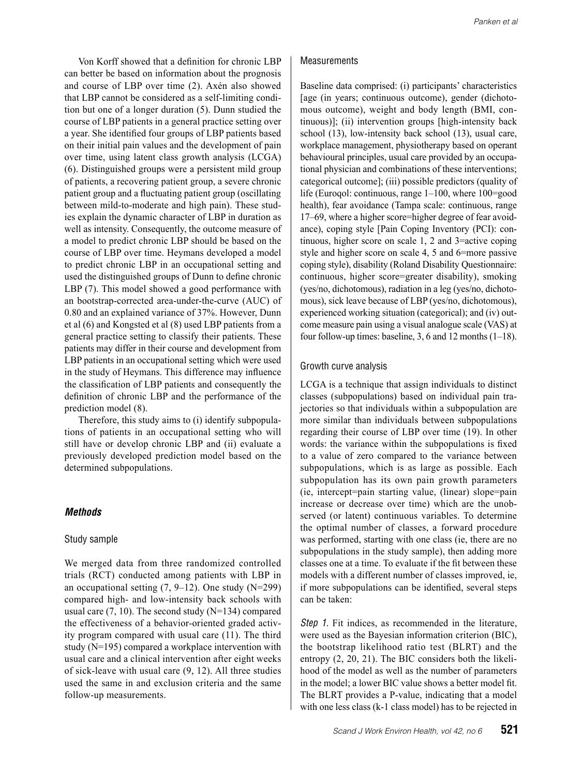Von Korff showed that a definition for chronic LBP can better be based on information about the prognosis and course of LBP over time (2). Axén also showed that LBP cannot be considered as a self-limiting condition but one of a longer duration (5). Dunn studied the course of LBP patients in a general practice setting over a year. She identified four groups of LBP patients based on their initial pain values and the development of pain over time, using latent class growth analysis (LCGA) (6). Distinguished groups were a persistent mild group of patients, a recovering patient group, a severe chronic patient group and a fluctuating patient group (oscillating between mild-to-moderate and high pain). These studies explain the dynamic character of LBP in duration as well as intensity. Consequently, the outcome measure of a model to predict chronic LBP should be based on the course of LBP over time. Heymans developed a model to predict chronic LBP in an occupational setting and used the distinguished groups of Dunn to define chronic LBP (7). This model showed a good performance with an bootstrap-corrected area-under-the-curve (AUC) of 0.80 and an explained variance of 37%. However, Dunn et al (6) and Kongsted et al (8) used LBP patients from a general practice setting to classify their patients. These patients may differ in their course and development from LBP patients in an occupational setting which were used in the study of Heymans. This difference may influence the classification of LBP patients and consequently the definition of chronic LBP and the performance of the prediction model (8).

Therefore, this study aims to (i) identify subpopulations of patients in an occupational setting who will still have or develop chronic LBP and (ii) evaluate a previously developed prediction model based on the determined subpopulations.

#### *Methods*

#### Study sample

We merged data from three randomized controlled trials (RCT) conducted among patients with LBP in an occupational setting  $(7, 9-12)$ . One study  $(N=299)$ compared high- and low-intensity back schools with usual care  $(7, 10)$ . The second study (N=134) compared the effectiveness of a behavior-oriented graded activity program compared with usual care (11). The third study (N=195) compared a workplace intervention with usual care and a clinical intervention after eight weeks of sick-leave with usual care (9, 12). All three studies used the same in and exclusion criteria and the same follow-up measurements.

#### **Measurements**

Baseline data comprised: (i) participants' characteristics [age (in years; continuous outcome), gender (dichotomous outcome), weight and body length (BMI, continuous)]; (ii) intervention groups [high-intensity back school (13), low-intensity back school (13), usual care, workplace management, physiotherapy based on operant behavioural principles, usual care provided by an occupational physician and combinations of these interventions; categorical outcome]; (iii) possible predictors (quality of life (Euroqol: continuous, range 1–100, where 100=good health), fear avoidance (Tampa scale: continuous, range 17–69, where a higher score=higher degree of fear avoidance), coping style [Pain Coping Inventory (PCI): continuous, higher score on scale 1, 2 and 3=active coping style and higher score on scale 4, 5 and 6=more passive coping style), disability (Roland Disability Questionnaire: continuous, higher score=greater disability), smoking (yes/no, dichotomous), radiation in a leg (yes/no, dichotomous), sick leave because of LBP (yes/no, dichotomous), experienced working situation (categorical); and (iv) outcome measure pain using a visual analogue scale (VAS) at four follow-up times: baseline, 3, 6 and 12 months  $(1-18)$ .

#### Growth curve analysis

LCGA is a technique that assign individuals to distinct classes (subpopulations) based on individual pain trajectories so that individuals within a subpopulation are more similar than individuals between subpopulations regarding their course of LBP over time (19). In other words: the variance within the subpopulations is fixed to a value of zero compared to the variance between subpopulations, which is as large as possible. Each subpopulation has its own pain growth parameters (ie, intercept=pain starting value, (linear) slope=pain increase or decrease over time) which are the unobserved (or latent) continuous variables. To determine the optimal number of classes, a forward procedure was performed, starting with one class (ie, there are no subpopulations in the study sample), then adding more classes one at a time. To evaluate if the fit between these models with a different number of classes improved, ie, if more subpopulations can be identified, several steps can be taken:

*Step 1.* Fit indices, as recommended in the literature, were used as the Bayesian information criterion (BIC), the bootstrap likelihood ratio test (BLRT) and the entropy (2, 20, 21). The BIC considers both the likelihood of the model as well as the number of parameters in the model; a lower BIC value shows a better model fit. The BLRT provides a P-value, indicating that a model with one less class (k-1 class model) has to be rejected in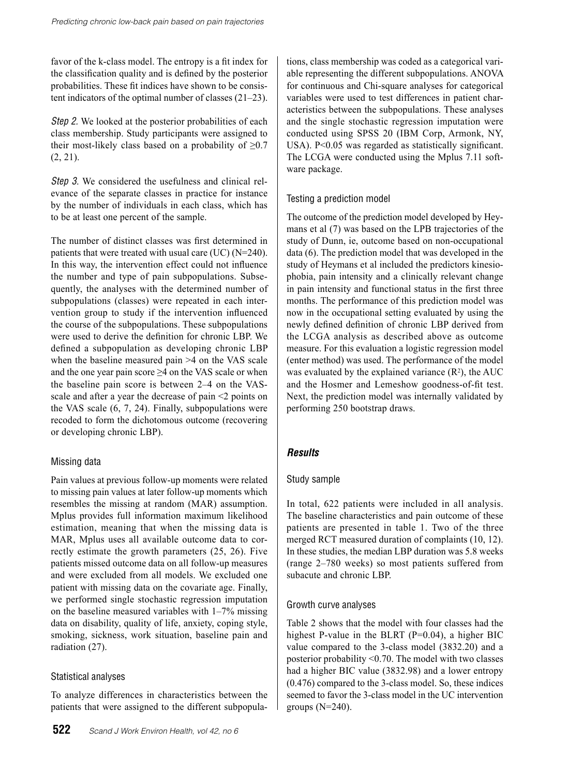favor of the k-class model. The entropy is a fit index for the classification quality and is defined by the posterior probabilities. These fit indices have shown to be consistent indicators of the optimal number of classes (21–23).

*Step 2.* We looked at the posterior probabilities of each class membership. Study participants were assigned to their most-likely class based on a probability of  $\geq 0.7$ (2, 21).

*Step 3*. We considered the usefulness and clinical relevance of the separate classes in practice for instance by the number of individuals in each class, which has to be at least one percent of the sample.

The number of distinct classes was first determined in patients that were treated with usual care (UC) (N=240). In this way, the intervention effect could not influence the number and type of pain subpopulations. Subsequently, the analyses with the determined number of subpopulations (classes) were repeated in each intervention group to study if the intervention influenced the course of the subpopulations. These subpopulations were used to derive the definition for chronic LBP. We defined a subpopulation as developing chronic LBP when the baseline measured pain >4 on the VAS scale and the one year pain score  $\geq$ 4 on the VAS scale or when the baseline pain score is between 2–4 on the VASscale and after a year the decrease of pain <2 points on the VAS scale (6, 7, 24). Finally, subpopulations were recoded to form the dichotomous outcome (recovering or developing chronic LBP).

#### Missing data

Pain values at previous follow-up moments were related to missing pain values at later follow-up moments which resembles the missing at random (MAR) assumption. Mplus provides full information maximum likelihood estimation, meaning that when the missing data is MAR, Mplus uses all available outcome data to correctly estimate the growth parameters (25, 26). Five patients missed outcome data on all follow-up measures and were excluded from all models. We excluded one patient with missing data on the covariate age. Finally, we performed single stochastic regression imputation on the baseline measured variables with 1–7% missing data on disability, quality of life, anxiety, coping style, smoking, sickness, work situation, baseline pain and radiation (27).

#### Statistical analyses

To analyze differences in characteristics between the patients that were assigned to the different subpopula-

tions, class membership was coded as a categorical variable representing the different subpopulations. ANOVA for continuous and Chi-square analyses for categorical variables were used to test differences in patient characteristics between the subpopulations. These analyses and the single stochastic regression imputation were conducted using SPSS 20 (IBM Corp, Armonk, NY, USA). P<0.05 was regarded as statistically significant. The LCGA were conducted using the Mplus 7.11 software package.

#### Testing a prediction model

The outcome of the prediction model developed by Heymans et al (7) was based on the LPB trajectories of the study of Dunn, ie, outcome based on non-occupational data (6). The prediction model that was developed in the study of Heymans et al included the predictors kinesiophobia, pain intensity and a clinically relevant change in pain intensity and functional status in the first three months. The performance of this prediction model was now in the occupational setting evaluated by using the newly defined definition of chronic LBP derived from the LCGA analysis as described above as outcome measure. For this evaluation a logistic regression model (enter method) was used. The performance of the model was evaluated by the explained variance  $(R^2)$ , the AUC and the Hosmer and Lemeshow goodness-of-fit test. Next, the prediction model was internally validated by performing 250 bootstrap draws.

#### *Results*

#### Study sample

In total, 622 patients were included in all analysis. The baseline characteristics and pain outcome of these patients are presented in table 1. Two of the three merged RCT measured duration of complaints (10, 12). In these studies, the median LBP duration was 5.8 weeks (range 2–780 weeks) so most patients suffered from subacute and chronic LBP.

#### Growth curve analyses

Table 2 shows that the model with four classes had the highest P-value in the BLRT (P=0.04), a higher BIC value compared to the 3-class model (3832.20) and a posterior probability <0.70. The model with two classes had a higher BIC value (3832.98) and a lower entropy (0.476) compared to the 3-class model. So, these indices seemed to favor the 3-class model in the UC intervention groups (N=240).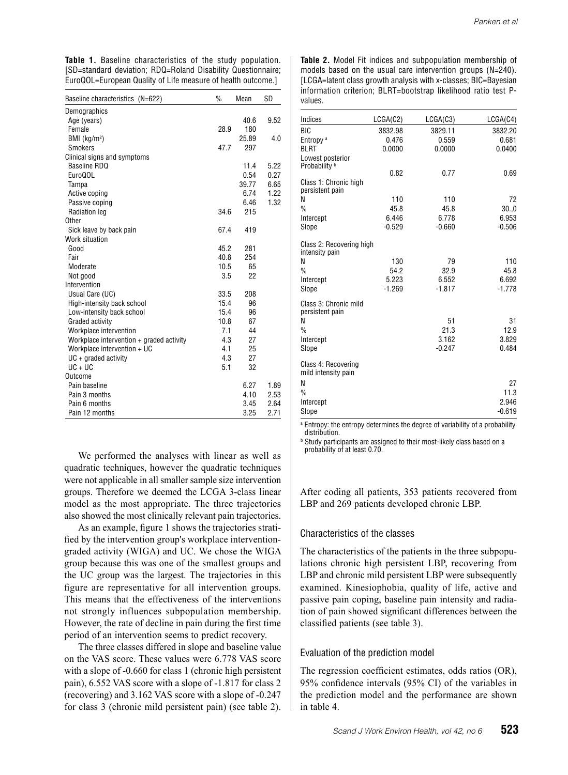**Table 1.** Baseline characteristics of the study population. [SD=standard deviation; RDQ=Roland Disability Questionnaire; EuroQOL=European Quality of Life measure of health outcome.]

| Baseline characteristics (N=622)         | $\%$ | Mean  | <b>SD</b> |
|------------------------------------------|------|-------|-----------|
| Demographics                             |      |       |           |
| Age (years)                              |      | 40.6  | 9.52      |
| Female                                   | 28.9 | 180   |           |
| BMI $(kg/m2)$                            |      | 25.89 | 4.0       |
| <b>Smokers</b>                           | 477  | 297   |           |
| Clinical signs and symptoms              |      |       |           |
| Baseline RDQ                             |      | 11.4  | 5.22      |
| Euro00L                                  |      | 0.54  | 0.27      |
| Tampa                                    |      | 39.77 | 6.65      |
| Active coping                            |      | 6.74  | 1.22      |
| Passive coping                           |      | 6.46  | 1.32      |
| Radiation leg                            | 34.6 | 215   |           |
| Other                                    |      |       |           |
| Sick leave by back pain                  | 67.4 | 419   |           |
| Work situation                           |      |       |           |
| Good                                     | 45.2 | 281   |           |
| Fair                                     | 40.8 | 254   |           |
| Moderate                                 | 10.5 | 65    |           |
| Not good                                 | 3.5  | 22    |           |
| Intervention                             |      |       |           |
| Usual Care (UC)                          | 33.5 | 208   |           |
| High-intensity back school               | 15.4 | 96    |           |
| Low-intensity back school                | 15.4 | 96    |           |
| Graded activity                          | 10.8 | 67    |           |
| Workplace intervention                   | 7.1  | 44    |           |
| Workplace intervention + graded activity | 4.3  | 27    |           |
| Workplace intervention + UC              | 4.1  | 25    |           |
| $UC + graded activity$                   | 4.3  | 27    |           |
| $UC + UC$                                | 51   | 32    |           |
| Outcome                                  |      |       |           |
| Pain baseline                            |      | 6.27  | 1.89      |
| Pain 3 months                            |      | 4.10  | 2.53      |
| Pain 6 months                            |      | 3.45  | 2.64      |
| Pain 12 months                           |      | 3.25  | 2.71      |

We performed the analyses with linear as well as quadratic techniques, however the quadratic techniques were not applicable in all smaller sample size intervention groups. Therefore we deemed the LCGA 3-class linear model as the most appropriate. The three trajectories also showed the most clinically relevant pain trajectories.

As an example, figure 1 shows the trajectories stratified by the intervention group's workplace interventiongraded activity (WIGA) and UC. We chose the WIGA group because this was one of the smallest groups and the UC group was the largest. The trajectories in this figure are representative for all intervention groups. This means that the effectiveness of the interventions not strongly influences subpopulation membership. However, the rate of decline in pain during the first time period of an intervention seems to predict recovery.

The three classes differed in slope and baseline value on the VAS score. These values were 6.778 VAS score with a slope of  $-0.660$  for class 1 (chronic high persistent pain), 6.552 VAS score with a slope of -1.817 for class 2 (recovering) and 3.162 VAS score with a slope of -0.247 for class 3 (chronic mild persistent pain) (see table 2).

**Table 2.** Model Fit indices and subpopulation membership of models based on the usual care intervention groups (N=240). [LCGA=latent class growth analysis with x-classes; BIC=Bayesian information criterion; BLRT=bootstrap likelihood ratio test Pvalues.

| Indices                                    | LCGA(C2) | LGGA(C3) | LGGA(C4) |
|--------------------------------------------|----------|----------|----------|
| <b>BIC</b>                                 | 3832.98  | 3829.11  | 3832.20  |
| Entropy <sup>a</sup>                       | 0.476    | 0.559    | 0.681    |
| <b>BLRT</b>                                | 0.0000   | 0.0000   | 0.0400   |
| Lowest posterior<br>Probability b          |          |          |          |
|                                            | 0.82     | 0.77     | 0.69     |
| Class 1: Chronic high<br>persistent pain   |          |          |          |
| N                                          | 110      | 110      | 72       |
| $\frac{0}{n}$                              | 45.8     | 45.8     | 30.0     |
| Intercept                                  | 6.446    | 6.778    | 6.953    |
| Slope                                      | $-0.529$ | $-0.660$ | $-0.506$ |
| Class 2: Recovering high<br>intensity pain |          |          |          |
| N                                          | 130      | 79       | 110      |
| $\frac{0}{0}$                              | 54.2     | 32.9     | 45.8     |
| Intercept                                  | 5.223    | 6.552    | 6.692    |
| Slope                                      | $-1.269$ | $-1.817$ | $-1.778$ |
| Class 3: Chronic mild<br>persistent pain   |          |          |          |
| N                                          |          | 51       | 31       |
| $\frac{0}{0}$                              |          | 21.3     | 12.9     |
| Intercept                                  |          | 3.162    | 3.829    |
| Slope                                      |          | $-0.247$ | 0.484    |
| Class 4: Recovering<br>mild intensity pain |          |          |          |
| N                                          |          |          | 27       |
| $\frac{0}{0}$                              |          |          | 11.3     |
| Intercept                                  |          |          | 2.946    |
| Slope                                      |          |          | $-0.619$ |
|                                            |          |          |          |

a Entropy: the entropy determines the degree of variability of a probability distribution.

**b** Study participants are assigned to their most-likely class based on a probability of at least 0.70.

After coding all patients, 353 patients recovered from LBP and 269 patients developed chronic LBP.

#### Characteristics of the classes

The characteristics of the patients in the three subpopulations chronic high persistent LBP, recovering from LBP and chronic mild persistent LBP were subsequently examined. Kinesiophobia, quality of life, active and passive pain coping, baseline pain intensity and radiation of pain showed significant differences between the classified patients (see table 3).

#### Evaluation of the prediction model

The regression coefficient estimates, odds ratios (OR), 95% confidence intervals (95% CI) of the variables in the prediction model and the performance are shown in table 4.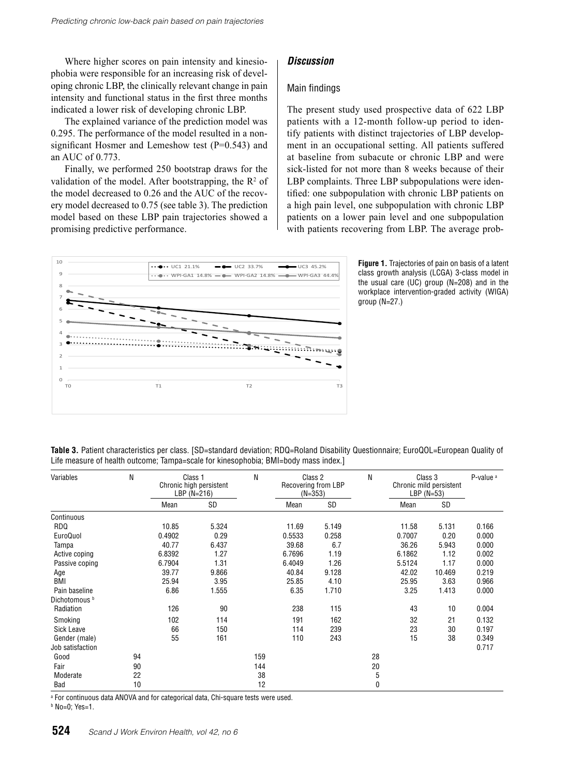Where higher scores on pain intensity and kinesiophobia were responsible for an increasing risk of developing chronic LBP, the clinically relevant change in pain intensity and functional status in the first three months indicated a lower risk of developing chronic LBP.

The explained variance of the prediction model was 0.295. The performance of the model resulted in a nonsignificant Hosmer and Lemeshow test (P=0.543) and an AUC of 0.773.

Finally, we performed 250 bootstrap draws for the validation of the model. After bootstrapping, the  $\mathbb{R}^2$  of the model decreased to 0.26 and the AUC of the recovery model decreased to 0.75 (see table 3). The prediction model based on these LBP pain trajectories showed a promising predictive performance.

#### *Discussion*

#### Main findings

The present study used prospective data of 622 LBP patients with a 12-month follow-up period to identify patients with distinct trajectories of LBP development in an occupational setting. All patients suffered at baseline from subacute or chronic LBP and were sick-listed for not more than 8 weeks because of their LBP complaints. Three LBP subpopulations were identified: one subpopulation with chronic LBP patients on a high pain level, one subpopulation with chronic LBP patients on a lower pain level and one subpopulation with patients recovering from LBP. The average prob-



**Figure 1.** Trajectories of pain on basis of a latent class growth analysis (LCGA) 3-class model in the usual care (UC) group (N=208) and in the workplace intervention-graded activity (WIGA) group (N=27.)

| Table 3. Patient characteristics per class. [SD=standard deviation; RDQ=Roland Disability Questionnaire; EuroQOL=European Quality of |  |
|--------------------------------------------------------------------------------------------------------------------------------------|--|
| Life measure of health outcome; Tampa=scale for kinesophobia; BMI=body mass index.]                                                  |  |

| Variables                | N  | Class 1<br>Chronic high persistent<br>LBP $(N=216)$ |       | N   | Class 2<br>Recovering from LBP<br>$(N=353)$ |       | N            | Class 3<br>Chronic mild persistent<br>LBP $(N=53)$ |        | P-value <sup>a</sup> |
|--------------------------|----|-----------------------------------------------------|-------|-----|---------------------------------------------|-------|--------------|----------------------------------------------------|--------|----------------------|
|                          |    | Mean                                                | SD    |     | Mean                                        | SD    |              | Mean                                               | SD     |                      |
| Continuous               |    |                                                     |       |     |                                             |       |              |                                                    |        |                      |
| <b>RDQ</b>               |    | 10.85                                               | 5.324 |     | 11.69                                       | 5.149 |              | 11.58                                              | 5.131  | 0.166                |
| EuroQuol                 |    | 0.4902                                              | 0.29  |     | 0.5533                                      | 0.258 |              | 0.7007                                             | 0.20   | 0.000                |
| Tampa                    |    | 40.77                                               | 6.437 |     | 39.68                                       | 6.7   |              | 36.26                                              | 5.943  | 0.000                |
| Active coping            |    | 6.8392                                              | 1.27  |     | 6.7696                                      | 1.19  |              | 6.1862                                             | 1.12   | 0.002                |
| Passive coping           |    | 6.7904                                              | 1.31  |     | 6.4049                                      | 1.26  |              | 5.5124                                             | 1.17   | 0.000                |
| Age                      |    | 39.77                                               | 9.866 |     | 40.84                                       | 9.128 |              | 42.02                                              | 10.469 | 0.219                |
| BMI                      |    | 25.94                                               | 3.95  |     | 25.85                                       | 4.10  |              | 25.95                                              | 3.63   | 0.966                |
| Pain baseline            |    | 6.86                                                | 1.555 |     | 6.35                                        | 1.710 |              | 3.25                                               | 1.413  | 0.000                |
| Dichotomous <sup>b</sup> |    |                                                     |       |     |                                             |       |              |                                                    |        |                      |
| Radiation                |    | 126                                                 | 90    |     | 238                                         | 115   |              | 43                                                 | 10     | 0.004                |
| Smoking                  |    | 102                                                 | 114   |     | 191                                         | 162   |              | 32                                                 | 21     | 0.132                |
| Sick Leave               |    | 66                                                  | 150   |     | 114                                         | 239   |              | 23                                                 | 30     | 0.197                |
| Gender (male)            |    | 55                                                  | 161   |     | 110                                         | 243   |              | 15                                                 | 38     | 0.349                |
| Job satisfaction         |    |                                                     |       |     |                                             |       |              |                                                    |        | 0.717                |
| Good                     | 94 |                                                     |       | 159 |                                             |       | 28           |                                                    |        |                      |
| Fair                     | 90 |                                                     |       | 144 |                                             |       | 20           |                                                    |        |                      |
| Moderate                 | 22 |                                                     |       | 38  |                                             |       | 5            |                                                    |        |                      |
| Bad                      | 10 |                                                     |       | 12  |                                             |       | $\mathbf{0}$ |                                                    |        |                      |

a For continuous data ANOVA and for categorical data, Chi-square tests were used.

b No=0; Yes=1.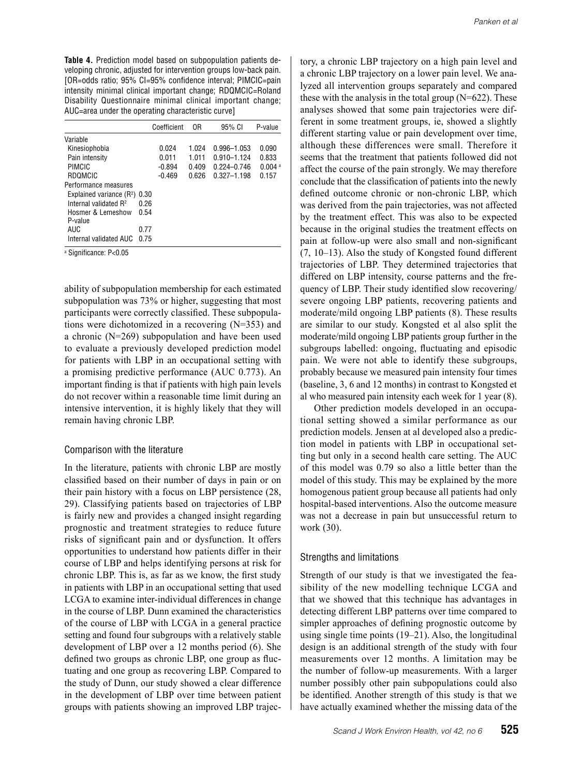**Table 4.** Prediction model based on subpopulation patients developing chronic, adjusted for intervention groups low-back pain. [OR=odds ratio; 95% CI=95% confidence interval; PIMCIC=pain intensity minimal clinical important change; RDQMCIC=Roland Disability Questionnaire minimal clinical important change; AUC=area under the operating characteristic curve]

|                                   |      | Coefficient | 0R    | 95% CI          | P-value              |
|-----------------------------------|------|-------------|-------|-----------------|----------------------|
| Variable                          |      |             |       |                 |                      |
| Kinesiophobia                     |      | 0.024       | 1.024 | 0.996-1.053     | 0.090                |
| Pain intensity                    |      | 0.011       | 1.011 | 0.910-1.124     | 0.833                |
| PIMCIC                            |      | $-0.894$    | 0.409 | $0.224 - 0.746$ | $0.004$ <sup>a</sup> |
| RDOMCIC                           |      | $-0.469$    | 0.626 | $0.327 - 1.198$ | 0.157                |
| Performance measures              |      |             |       |                 |                      |
| Explained variance $(R2)$ 0.30    |      |             |       |                 |                      |
| Internal validated R <sup>2</sup> | በ 26 |             |       |                 |                      |
| Hosmer & Lemeshow                 | 0.54 |             |       |                 |                      |
| P-value                           |      |             |       |                 |                      |
| AUC                               | 0.77 |             |       |                 |                      |
| Internal validated AUC            | 0 75 |             |       |                 |                      |

a Significance: P<0.05

ability of subpopulation membership for each estimated subpopulation was 73% or higher, suggesting that most participants were correctly classified. These subpopulations were dichotomized in a recovering (N=353) and a chronic (N=269) subpopulation and have been used to evaluate a previously developed prediction model for patients with LBP in an occupational setting with a promising predictive performance (AUC 0.773). An important finding is that if patients with high pain levels do not recover within a reasonable time limit during an intensive intervention, it is highly likely that they will remain having chronic LBP.

#### Comparison with the literature

In the literature, patients with chronic LBP are mostly classified based on their number of days in pain or on their pain history with a focus on LBP persistence (28, 29). Classifying patients based on trajectories of LBP is fairly new and provides a changed insight regarding prognostic and treatment strategies to reduce future risks of significant pain and or dysfunction. It offers opportunities to understand how patients differ in their course of LBP and helps identifying persons at risk for chronic LBP. This is, as far as we know, the first study in patients with LBP in an occupational setting that used LCGA to examine inter-individual differences in change in the course of LBP. Dunn examined the characteristics of the course of LBP with LCGA in a general practice setting and found four subgroups with a relatively stable development of LBP over a 12 months period (6). She defined two groups as chronic LBP, one group as fluctuating and one group as recovering LBP. Compared to the study of Dunn, our study showed a clear difference in the development of LBP over time between patient groups with patients showing an improved LBP trajectory, a chronic LBP trajectory on a high pain level and a chronic LBP trajectory on a lower pain level. We analyzed all intervention groups separately and compared these with the analysis in the total group (N=622). These analyses showed that some pain trajectories were different in some treatment groups, ie, showed a slightly different starting value or pain development over time, although these differences were small. Therefore it seems that the treatment that patients followed did not affect the course of the pain strongly. We may therefore conclude that the classification of patients into the newly defined outcome chronic or non-chronic LBP, which was derived from the pain trajectories, was not affected by the treatment effect. This was also to be expected because in the original studies the treatment effects on pain at follow-up were also small and non-significant (7, 10–13). Also the study of Kongsted found different trajectories of LBP. They determined trajectories that differed on LBP intensity, course patterns and the frequency of LBP. Their study identified slow recovering/ severe ongoing LBP patients, recovering patients and moderate/mild ongoing LBP patients (8). These results are similar to our study. Kongsted et al also split the moderate/mild ongoing LBP patients group further in the subgroups labelled: ongoing, fluctuating and episodic pain. We were not able to identify these subgroups, probably because we measured pain intensity four times (baseline, 3, 6 and 12 months) in contrast to Kongsted et al who measured pain intensity each week for 1 year (8).

Other prediction models developed in an occupational setting showed a similar performance as our prediction models. Jensen at al developed also a prediction model in patients with LBP in occupational setting but only in a second health care setting. The AUC of this model was 0.79 so also a little better than the model of this study. This may be explained by the more homogenous patient group because all patients had only hospital-based interventions. Also the outcome measure was not a decrease in pain but unsuccessful return to work (30).

#### Strengths and limitations

Strength of our study is that we investigated the feasibility of the new modelling technique LCGA and that we showed that this technique has advantages in detecting different LBP patterns over time compared to simpler approaches of defining prognostic outcome by using single time points (19–21). Also, the longitudinal design is an additional strength of the study with four measurements over 12 months. A limitation may be the number of follow-up measurements. With a larger number possibly other pain subpopulations could also be identified. Another strength of this study is that we have actually examined whether the missing data of the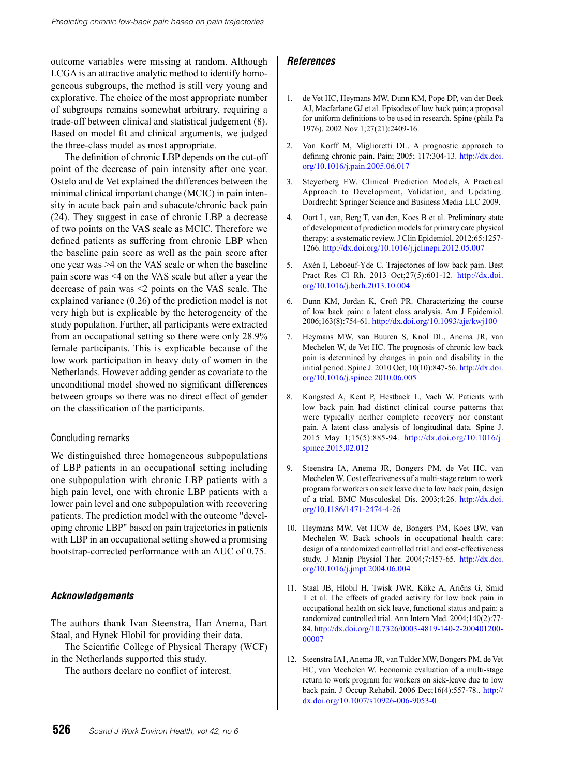outcome variables were missing at random. Although LCGA is an attractive analytic method to identify homogeneous subgroups, the method is still very young and explorative. The choice of the most appropriate number of subgroups remains somewhat arbitrary, requiring a trade-off between clinical and statistical judgement (8). Based on model fit and clinical arguments, we judged the three-class model as most appropriate.

The definition of chronic LBP depends on the cut-off point of the decrease of pain intensity after one year. Ostelo and de Vet explained the differences between the minimal clinical important change (MCIC) in pain intensity in acute back pain and subacute/chronic back pain (24). They suggest in case of chronic LBP a decrease of two points on the VAS scale as MCIC. Therefore we defined patients as suffering from chronic LBP when the baseline pain score as well as the pain score after one year was >4 on the VAS scale or when the baseline pain score was <4 on the VAS scale but after a year the decrease of pain was <2 points on the VAS scale. The explained variance (0.26) of the prediction model is not very high but is explicable by the heterogeneity of the study population. Further, all participants were extracted from an occupational setting so there were only 28.9% female participants. This is explicable because of the low work participation in heavy duty of women in the Netherlands. However adding gender as covariate to the unconditional model showed no significant differences between groups so there was no direct effect of gender on the classification of the participants.

#### Concluding remarks

We distinguished three homogeneous subpopulations of LBP patients in an occupational setting including one subpopulation with chronic LBP patients with a high pain level, one with chronic LBP patients with a lower pain level and one subpopulation with recovering patients. The prediction model with the outcome "developing chronic LBP" based on pain trajectories in patients with LBP in an occupational setting showed a promising bootstrap-corrected performance with an AUC of 0.75.

#### *Acknowledgements*

The authors thank Ivan Steenstra, Han Anema, Bart Staal, and Hynek Hlobil for providing their data.

The Scientific College of Physical Therapy (WCF) in the Netherlands supported this study.

The authors declare no conflict of interest.

#### *References*

- 1. de Vet HC, Heymans MW, Dunn KM, Pope DP, van der Beek AJ, Macfarlane GJ et al. Episodes of low back pain; a proposal for uniform definitions to be used in research. Spine (phila Pa 1976). 2002 Nov 1;27(21):2409-16.
- 2. Von Korff M, Miglioretti DL. A prognostic approach to defining chronic pain. Pain; 2005; 117:304-13. [http://dx.doi.](http://dx.doi.org/10.1016/j.pain.2005.06.017) [org/10.1016/j.pain.2005.06.017](http://dx.doi.org/10.1016/j.pain.2005.06.017)
- 3. Steyerberg EW. Clinical Prediction Models, A Practical Approach to Development, Validation, and Updating. Dordrecht: Springer Science and Business Media LLC 2009.
- 4. Oort L, van, Berg T, van den, Koes B et al. Preliminary state of development of prediction models for primary care physical therapy: a systematic review. J Clin Epidemiol, 2012;65:1257- 1266. <http://dx.doi.org/10.1016/j.jclinepi.2012.05.007>
- 5. Axén I, Leboeuf-Yde C. Trajectories of low back pain. Best Pract Res Cl Rh. 2013 Oct;27(5):601-12. [http://dx.doi.](http://dx.doi.org/10.1016/j.berh.2013.10.004) [org/10.1016/j.berh.2013.10.004](http://dx.doi.org/10.1016/j.berh.2013.10.004)
- 6. Dunn KM, Jordan K, Croft PR. Characterizing the course of low back pain: a latent class analysis. Am J Epidemiol. 2006;163(8):754-61. <http://dx.doi.org/10.1093/aje/kwj100>
- 7. Heymans MW, van Buuren S, Knol DL, Anema JR, van Mechelen W, de Vet HC. The prognosis of chronic low back pain is determined by changes in pain and disability in the initial period. Spine J. 2010 Oct; 10(10):847-56. [http://dx.doi.](http://dx.doi.org/10.1016/j.spinee.2010.06.005) [org/10.1016/j.spinee.2010.06.005](http://dx.doi.org/10.1016/j.spinee.2010.06.005)
- 8. Kongsted A, Kent P, Hestbaek L, Vach W. Patients with low back pain had distinct clinical course patterns that were typically neither complete recovery nor constant pain. A latent class analysis of longitudinal data. Spine J. 2015 May 1;15(5):885-94. [http://dx.doi.org/10.1016/j.](http://dx.doi.org/10.1016/j.spinee.2015.02.012) [spinee.2015.02.012](http://dx.doi.org/10.1016/j.spinee.2015.02.012)
- 9. Steenstra IA, Anema JR, Bongers PM, de Vet HC, van Mechelen W. Cost effectiveness of a multi-stage return to work program for workers on sick leave due to low back pain, design of a trial. BMC Musculoskel Dis. 2003;4:26. [http://dx.doi.](http://dx.doi.org/10.1186/1471-2474-4-26) [org/10.1186/1471-2474-4-26](http://dx.doi.org/10.1186/1471-2474-4-26)
- 10. Heymans MW, Vet HCW de, Bongers PM, Koes BW, van Mechelen W. Back schools in occupational health care: design of a randomized controlled trial and cost-effectiveness study. J Manip Physiol Ther. 2004;7:457-65. [http://dx.doi.](http://dx.doi.org/10.1016/j.jmpt.2004.06.004) [org/10.1016/j.jmpt.2004.06.004](http://dx.doi.org/10.1016/j.jmpt.2004.06.004)
- 11. Staal JB, Hlobil H, Twisk JWR, Köke A, Ariëns G, Smid T et al. The effects of graded activity for low back pain in occupational health on sick leave, functional status and pain: a randomized controlled trial. Ann Intern Med. 2004;140(2):77- 84. [http://dx.doi.org/10.7326/0003-4819-140-2-200401200-](http://dx.doi.org/10.7326/0003-4819-140-2-200401200-00007) [00007](http://dx.doi.org/10.7326/0003-4819-140-2-200401200-00007)
- 12. Steenstra IA1, Anema JR, van Tulder MW, Bongers PM, de Vet HC, van Mechelen W. Economic evaluation of a multi-stage return to work program for workers on sick-leave due to low back pain. J Occup Rehabil. 2006 Dec;16(4):557-78.. [http://](http://dx.doi.org/10.1007/s10926-006-9053-0) [dx.doi.org/10.1007/s10926-006-9053-0](http://dx.doi.org/10.1007/s10926-006-9053-0)